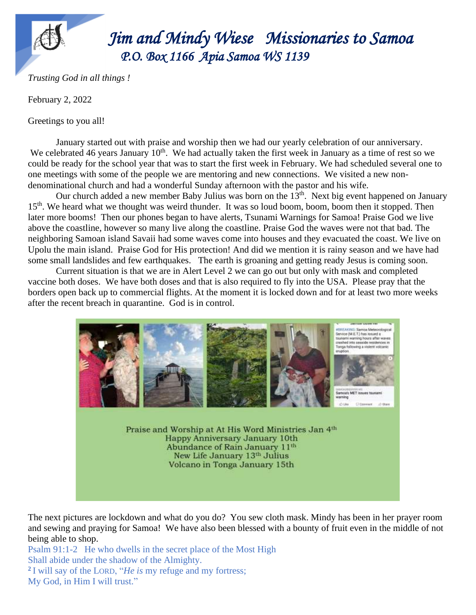

 *Jim Jim and Mindy Wiese Missionaries to Samoa P.O. Box 1166 Apia Samoa WS 1139* 

*Trusting God in all things !*

February 2, 2022

Greetings to you all!

January started out with praise and worship then we had our yearly celebration of our anniversary. We celebrated 46 years January  $10<sup>th</sup>$ . We had actually taken the first week in January as a time of rest so we could be ready for the school year that was to start the first week in February. We had scheduled several one to one meetings with some of the people we are mentoring and new connections. We visited a new nondenominational church and had a wonderful Sunday afternoon with the pastor and his wife.

Our church added a new member Baby Julius was born on the 13<sup>th</sup>. Next big event happened on January 15<sup>th</sup>. We heard what we thought was weird thunder. It was so loud boom, boom, boom then it stopped. Then later more booms! Then our phones began to have alerts, Tsunami Warnings for Samoa! Praise God we live above the coastline, however so many live along the coastline. Praise God the waves were not that bad. The neighboring Samoan island Savaii had some waves come into houses and they evacuated the coast. We live on Upolu the main island. Praise God for His protection! And did we mention it is rainy season and we have had some small landslides and few earthquakes. The earth is groaning and getting ready Jesus is coming soon.

Current situation is that we are in Alert Level 2 we can go out but only with mask and completed vaccine both doses. We have both doses and that is also required to fly into the USA. Please pray that the borders open back up to commercial flights. At the moment it is locked down and for at least two more weeks after the recent breach in quarantine. God is in control.



The next pictures are lockdown and what do you do? You sew cloth mask. Mindy has been in her prayer room and sewing and praying for Samoa! We have also been blessed with a bounty of fruit even in the middle of not being able to shop.

Psalm 91:1-2 He who dwells in the secret place of the Most High Shall abide under the shadow of the Almighty. **2** I will say of the LORD, "*He is* my refuge and my fortress; My God, in Him I will trust."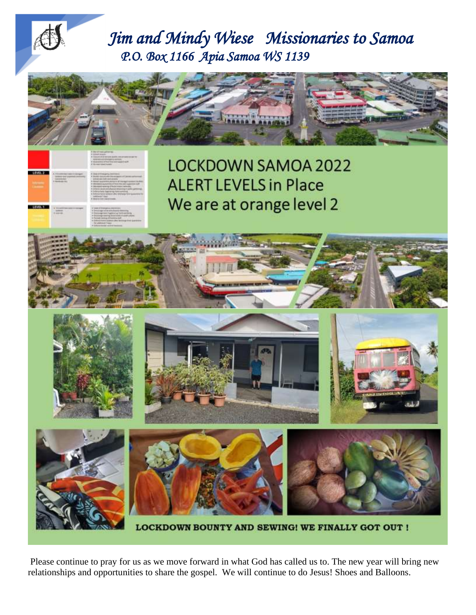



LOCKDOWN BOUNTY AND SEWING! WE FINALLY GOT OUT !

Please continue to pray for us as we move forward in what God has called us to. The new year will bring new relationships and opportunities to share the gospel. We will continue to do Jesus! Shoes and Balloons.